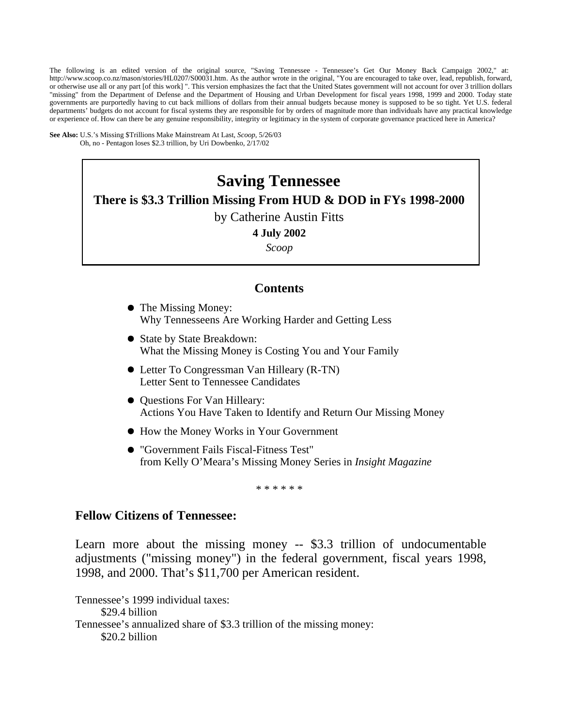The following is an edited version of the original source, "Saving Tennessee - Tennessee's Get Our Money Back Campaign 2002," at: http://www.scoop.co.nz/mason/stories/HL0207/S00031.htm. As the author wrote in the original, "You are encouraged to take over, lead, republish, forward, or otherwise use all or any part [of this work] ". This version emphasizes the fact that the United States government will not account for over 3 trillion dollars "missing" from the Department of Defense and the Department of Housing and Urban Development for fiscal years 1998, 1999 and 2000. Today state governments are purportedly having to cut back millions of dollars from their annual budgets because money is supposed to be so tight. Yet U.S. federal departments' budgets do not account for fiscal systems they are responsible for by orders of magnitude more than individuals have any practical knowledge or experience of. How can there be any genuine responsibility, integrity or legitimacy in the system of corporate governance practiced here in America?

**See Also:** U.S.'s Missing \$Trillions Make Mainstream At Last, *Scoop*, 5/26/03 Oh, no - Pentagon loses \$2.3 trillion, by Uri Dowbenko, 2/17/02

# **Saving Tennessee There is \$3.3 Trillion Missing From HUD & DOD in FYs 1998-2000**  by Catherine Austin Fitts **4 July 2002**

*Scoop* 

# **Contents**

- The Missing Money: Why Tennesseens Are Working Harder and Getting Less
- State by State Breakdown: What the Missing Money is Costing You and Your Family
- Letter To Congressman Van Hilleary (R-TN) Letter Sent to Tennessee Candidates
- $\bullet$  Questions For Van Hilleary: Actions You Have Taken to Identify and Return Our Missing Money
- How the Money Works in Your Government
- "Government Fails Fiscal-Fitness Test" from Kelly O'Meara's Missing Money Series in *Insight Magazine*

\* \* \* \* \* \*

# **Fellow Citizens of Tennessee:**

Learn more about the missing money -- \$3.3 trillion of undocumentable adjustments ("missing money") in the federal government, fiscal years 1998, 1998, and 2000. That's \$11,700 per American resident.

Tennessee's 1999 individual taxes: \$29.4 billion Tennessee's annualized share of \$3.3 trillion of the missing money: \$20.2 billion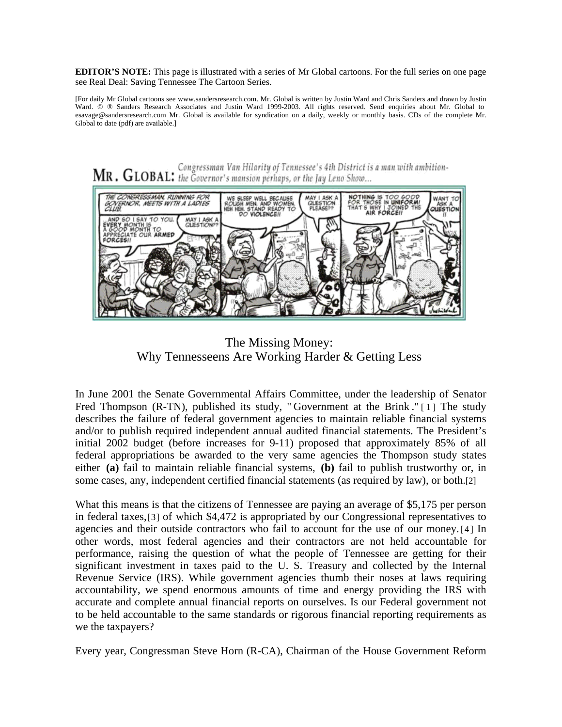**EDITOR'S NOTE:** This page is illustrated with a series of Mr Global cartoons. For the full series on one page see Real Deal: Saving Tennessee The Cartoon Series.

[For daily Mr Global cartoons see www.sandersresearch.com. Mr. Global is written by Justin Ward and Chris Sanders and drawn by Justin Ward.  $©$  ® Sanders Research Associates and Justin Ward 1999-2003. All rights reserved. Send enquiries about Mr. Global to esavage@sandersresearch.com Mr. Global is available for syndication on a daily, weekly or monthly basis. CDs of the complete Mr. Global to date (pdf) are available.]



The Missing Money: Why Tennesseens Are Working Harder & Getting Less

In June 2001 the Senate Governmental Affairs Committee, under the leadership of Senator Fred Thompson (R-TN), published its study, " Government at the Brink ." [1] The study describes the failure of federal government agencies to maintain reliable financial systems and/or to publish required independent annual audited financial statements. The President's initial 2002 budget (before increases for 9-11) proposed that approximately 85% of all federal appropriations be awarded to the very same agencies the Thompson study states either **(a)** fail to maintain reliable financial systems, **(b)** fail to publish trustworthy or, in some cases, any, independent certified financial statements (as required by law), or both.[2]

What this means is that the citizens of Tennessee are paying an average of \$5,175 per person in federal taxes,[3] of which \$4,472 is appropriated by our Congressional representatives to agencies and their outside contractors who fail to account for the use of our money.[4] In other words, most federal agencies and their contractors are not held accountable for performance, raising the question of what the people of Tennessee are getting for their significant investment in taxes paid to the U. S. Treasury and collected by the Internal Revenue Service (IRS). While government agencies thumb their noses at laws requiring accountability, we spend enormous amounts of time and energy providing the IRS with accurate and complete annual financial reports on ourselves. Is our Federal government not to be held accountable to the same standards or rigorous financial reporting requirements as we the taxpayers?

Every year, Congressman Steve Horn (R-CA), Chairman of the House Government Reform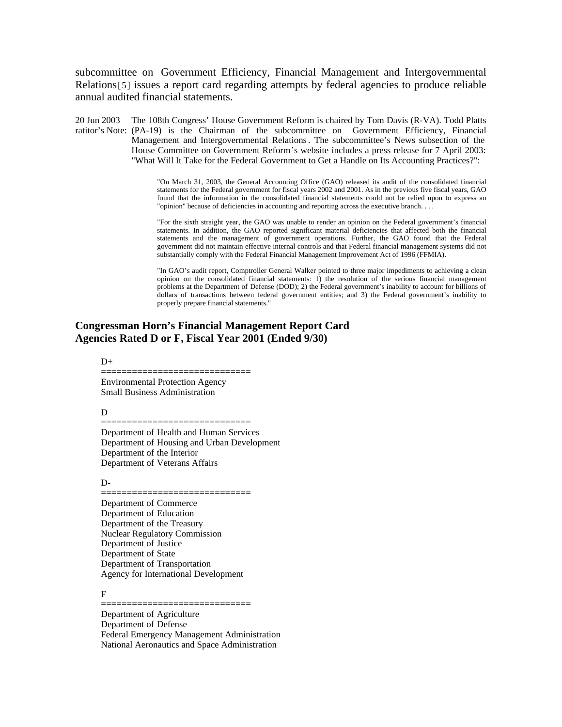subcommittee on Government Efficiency, Financial Management and Intergovernmental Relations[5] issues a report card regarding attempts by federal agencies to produce reliable annual audited financial statements.

20 Jun 2003 ratitor's Note: (PA-19) is the Chairman of the subcommittee on Government Efficiency, Financial The 108th Congress' House Government Reform is chaired by Tom Davis (R-VA). Todd Platts Management and Intergovernmental Relations . The subcommittee's News subsection of the House Committee on Government Reform's website includes a press release for 7 April 2003: "What Will It Take for the Federal Government to Get a Handle on Its Accounting Practices?":

> "On March 31, 2003, the General Accounting Office (GAO) released its audit of the consolidated financial statements for the Federal government for fiscal years 2002 and 2001. As in the previous five fiscal years, GAO found that the information in the consolidated financial statements could not be relied upon to express an "opinion" because of deficiencies in accounting and reporting across the executive branch. . . .

> "For the sixth straight year, the GAO was unable to render an opinion on the Federal government's financial statements. In addition, the GAO reported significant material deficiencies that affected both the financial statements and the management of government operations. Further, the GAO found that the Federal government did not maintain effective internal controls and that Federal financial management systems did not substantially comply with the Federal Financial Management Improvement Act of 1996 (FFMIA).

> "In GAO's audit report, Comptroller General Walker pointed to three major impediments to achieving a clean opinion on the consolidated financial statements: 1) the resolution of the serious financial management problems at the Department of Defense (DOD); 2) the Federal government's inability to account for billions of dollars of transactions between federal government entities; and 3) the Federal government's inability to properly prepare financial statements."

# **Congressman Horn's Financial Management Report Card Agencies Rated D or F, Fiscal Year 2001 (Ended 9/30)**

#### $D+$

============================= Environmental Protection Agency Small Business Administration

#### D

Department of Health and Human Services Department of Housing and Urban Development Department of the Interior Department of Veterans Affairs

=============================

#### D-

============================= Department of Commerce Department of Education Department of the Treasury Nuclear Regulatory Commission Department of Justice Department of State Department of Transportation Agency for International Development

F

Department of Agriculture Department of Defense Federal Emergency Management Administration National Aeronautics and Space Administration

=============================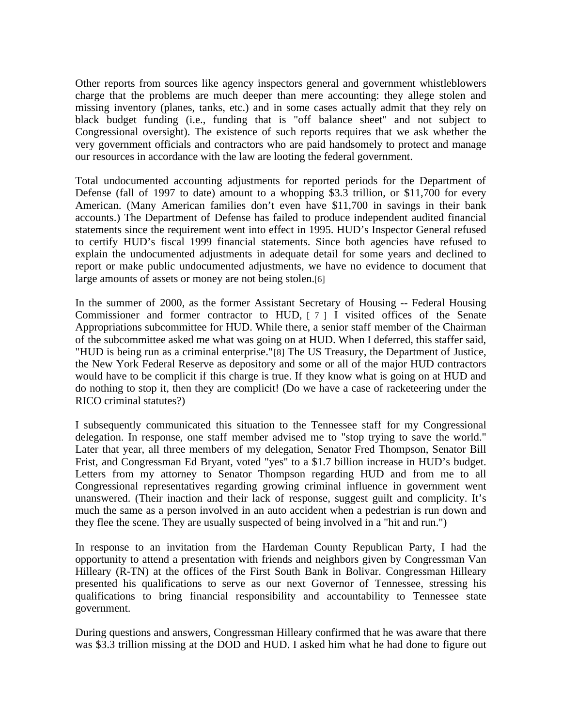Other reports from sources like agency inspectors general and government whistleblowers charge that the problems are much deeper than mere accounting: they allege stolen and missing inventory (planes, tanks, etc.) and in some cases actually admit that they rely on black budget funding (i.e., funding that is "off balance sheet" and not subject to Congressional oversight). The existence of such reports requires that we ask whether the very government officials and contractors who are paid handsomely to protect and manage our resources in accordance with the law are looting the federal government.

Total undocumented accounting adjustments for reported periods for the Department of Defense (fall of 1997 to date) amount to a whopping \$3.3 trillion, or \$11,700 for every American. (Many American families don't even have \$11,700 in savings in their bank accounts.) The Department of Defense has failed to produce independent audited financial statements since the requirement went into effect in 1995. HUD's Inspector General refused to certify HUD's fiscal 1999 financial statements. Since both agencies have refused to explain the undocumented adjustments in adequate detail for some years and declined to report or make public undocumented adjustments, we have no evidence to document that large amounts of assets or money are not being stolen.[6]

In the summer of 2000, as the former Assistant Secretary of Housing -- Federal Housing Commissioner and former contractor to HUD, [7] I visited offices of the Senate Appropriations subcommittee for HUD. While there, a senior staff member of the Chairman of the subcommittee asked me what was going on at HUD. When I deferred, this staffer said, "HUD is being run as a criminal enterprise."[8] The US Treasury, the Department of Justice, the New York Federal Reserve as depository and some or all of the major HUD contractors would have to be complicit if this charge is true. If they know what is going on at HUD and do nothing to stop it, then they are complicit! (Do we have a case of racketeering under the RICO criminal statutes?)

I subsequently communicated this situation to the Tennessee staff for my Congressional delegation. In response, one staff member advised me to "stop trying to save the world." Later that year, all three members of my delegation, Senator Fred Thompson, Senator Bill Frist, and Congressman Ed Bryant, voted "yes" to a \$1.7 billion increase in HUD's budget. Letters from my attorney to Senator Thompson regarding HUD and from me to all Congressional representatives regarding growing criminal influence in government went unanswered. (Their inaction and their lack of response, suggest guilt and complicity. It's much the same as a person involved in an auto accident when a pedestrian is run down and they flee the scene. They are usually suspected of being involved in a "hit and run.")

In response to an invitation from the Hardeman County Republican Party, I had the opportunity to attend a presentation with friends and neighbors given by Congressman Van Hilleary (R-TN) at the offices of the First South Bank in Bolivar. Congressman Hilleary presented his qualifications to serve as our next Governor of Tennessee, stressing his qualifications to bring financial responsibility and accountability to Tennessee state government.

During questions and answers, Congressman Hilleary confirmed that he was aware that there was \$3.3 trillion missing at the DOD and HUD. I asked him what he had done to figure out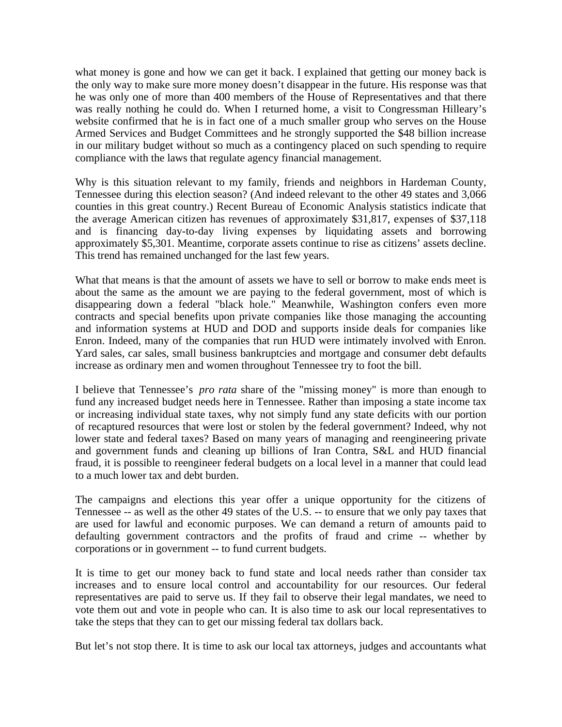what money is gone and how we can get it back. I explained that getting our money back is the only way to make sure more money doesn't disappear in the future. His response was that he was only one of more than 400 members of the House of Representatives and that there was really nothing he could do. When I returned home, a visit to Congressman Hilleary's website confirmed that he is in fact one of a much smaller group who serves on the House Armed Services and Budget Committees and he strongly supported the \$48 billion increase in our military budget without so much as a contingency placed on such spending to require compliance with the laws that regulate agency financial management.

Why is this situation relevant to my family, friends and neighbors in Hardeman County, Tennessee during this election season? (And indeed relevant to the other 49 states and 3,066 counties in this great country.) Recent Bureau of Economic Analysis statistics indicate that the average American citizen has revenues of approximately \$31,817, expenses of \$37,118 and is financing day-to-day living expenses by liquidating assets and borrowing approximately \$5,301. Meantime, corporate assets continue to rise as citizens' assets decline. This trend has remained unchanged for the last few years.

What that means is that the amount of assets we have to sell or borrow to make ends meet is about the same as the amount we are paying to the federal government, most of which is disappearing down a federal "black hole." Meanwhile, Washington confers even more contracts and special benefits upon private companies like those managing the accounting and information systems at HUD and DOD and supports inside deals for companies like Enron. Indeed, many of the companies that run HUD were intimately involved with Enron. Yard sales, car sales, small business bankruptcies and mortgage and consumer debt defaults increase as ordinary men and women throughout Tennessee try to foot the bill.

I believe that Tennessee's *pro rata* share of the "missing money" is more than enough to fund any increased budget needs here in Tennessee. Rather than imposing a state income tax or increasing individual state taxes, why not simply fund any state deficits with our portion of recaptured resources that were lost or stolen by the federal government? Indeed, why not lower state and federal taxes? Based on many years of managing and reengineering private and government funds and cleaning up billions of Iran Contra, S&L and HUD financial fraud, it is possible to reengineer federal budgets on a local level in a manner that could lead to a much lower tax and debt burden.

The campaigns and elections this year offer a unique opportunity for the citizens of Tennessee -- as well as the other 49 states of the U.S. -- to ensure that we only pay taxes that are used for lawful and economic purposes. We can demand a return of amounts paid to defaulting government contractors and the profits of fraud and crime -- whether by corporations or in government -- to fund current budgets.

It is time to get our money back to fund state and local needs rather than consider tax increases and to ensure local control and accountability for our resources. Our federal representatives are paid to serve us. If they fail to observe their legal mandates, we need to vote them out and vote in people who can. It is also time to ask our local representatives to take the steps that they can to get our missing federal tax dollars back.

But let's not stop there. It is time to ask our local tax attorneys, judges and accountants what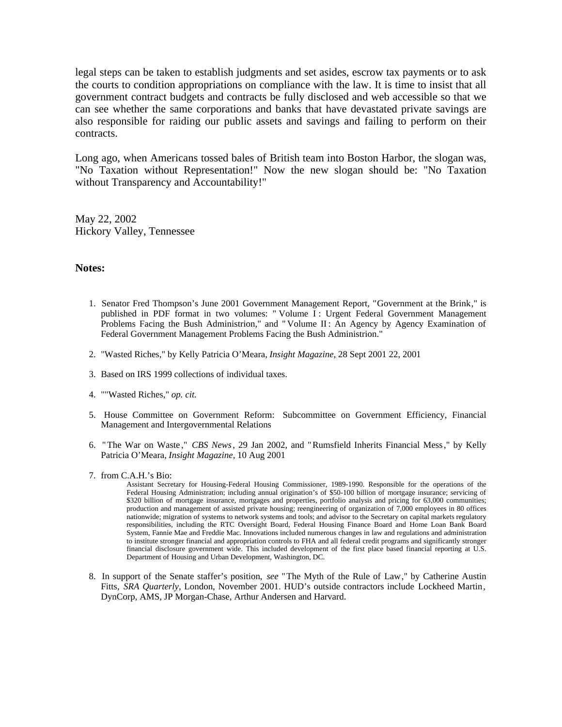legal steps can be taken to establish judgments and set asides, escrow tax payments or to ask the courts to condition appropriations on compliance with the law. It is time to insist that all government contract budgets and contracts be fully disclosed and web accessible so that we can see whether the same corporations and banks that have devastated private savings are also responsible for raiding our public assets and savings and failing to perform on their contracts.

Long ago, when Americans tossed bales of British team into Boston Harbor, the slogan was, "No Taxation without Representation!" Now the new slogan should be: "No Taxation without Transparency and Accountability!"

May 22, 2002 Hickory Valley, Tennessee

## **Notes:**

- 1. Senator Fred Thompson's June 2001 Government Management Report, "Government at the Brink," is published in PDF format in two volumes: " Volume I : Urgent Federal Government Management Problems Facing the Bush Administrion," and " Volume II : An Agency by Agency Examination of Federal Government Management Problems Facing the Bush Administrion."
- 2. "Wasted Riches," by Kelly Patricia O'Meara, *Insight Magazine,* 28 Sept 2001 22, 2001
- 3. Based on IRS 1999 collections of individual taxes.
- 4. ""Wasted Riches," *op. cit.*
- 5. House Committee on Government Reform: Subcommittee on Government Efficiency, Financial Management and Intergovernmental Relations
- 6. " The War on Waste ," *CBS News*, 29 Jan 2002, and "Rumsfield Inherits Financial Mess ," by Kelly Patricia O'Meara, *Insight Magazine,* 10 Aug 2001
- 7. from C.A.H.'s Bio:

Assistant Secretary for Housing-Federal Housing Commissioner, 1989-1990. Responsible for the operations of the Federal Housing Administration; including annual origination's of \$50-100 billion of mortgage insurance; servicing of \$320 billion of mortgage insurance, mortgages and properties, portfolio analysis and pricing for 63,000 communities; production and management of assisted private housing; reengineering of organization of 7,000 employees in 80 offices nationwide; migration of systems to network systems and tools; and advisor to the Secretary on capital markets regulatory responsibilities, including the RTC Oversight Board, Federal Housing Finance Board and Home Loan Bank Board System, Fannie Mae and Freddie Mac. Innovations included numerous changes in law and regulations and administration to institute stronger financial and appropriation controls to FHA and all federal credit programs and significantly stronger financial disclosure government wide. This included development of the first place based financial reporting at U.S. Department of Housing and Urban Development, Washington, DC.

8. In support of the Senate staffer's position, *see* "The Myth of the Rule of Law," by Catherine Austin Fitts, *SRA Quarterly,* London, November 2001. HUD's outside contractors include Lockheed Martin, DynCorp, AMS, JP Morgan-Chase, Arthur Andersen and Harvard.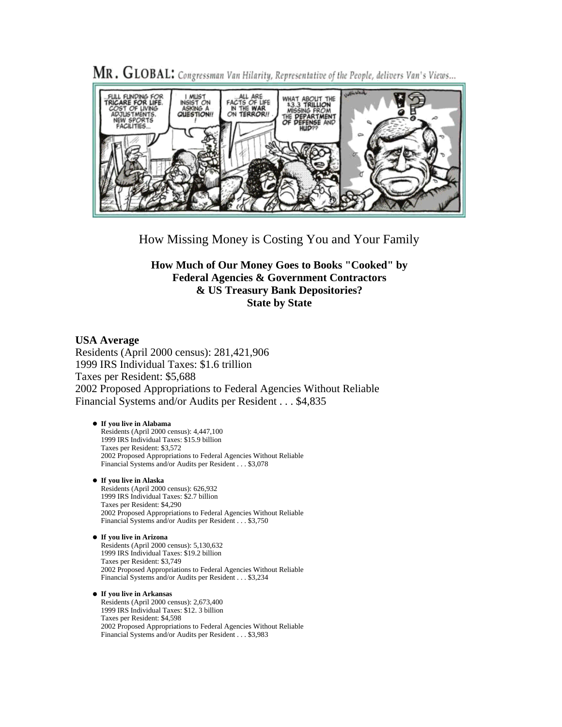

MR. GLOBAL: Congressman Van Hilarity, Representative of the People, delivers Van's Views...

How Missing Money is Costing You and Your Family

**How Much of Our Money Goes to Books "Cooked" by Federal Agencies & Government Contractors & US Treasury Bank Depositories? State by State** 

## **USA Average**

Residents (April 2000 census): 281,421,906 1999 IRS Individual Taxes: \$1.6 trillion Taxes per Resident: \$5,688 2002 Proposed Appropriations to Federal Agencies Without Reliable Financial Systems and/or Audits per Resident . . . \$4,835

## **If you live in Alabama**

Residents (April 2000 census): 4,447,100 1999 IRS Individual Taxes: \$15.9 billion Taxes per Resident: \$3,572 2002 Proposed Appropriations to Federal Agencies Without Reliable Financial Systems and/or Audits per Resident . . . \$3,078

#### **If you live in Alaska**

Residents (April 2000 census): 626,932 1999 IRS Individual Taxes: \$2.7 billion Taxes per Resident: \$4,290 2002 Proposed Appropriations to Federal Agencies Without Reliable Financial Systems and/or Audits per Resident . . . \$3,750

#### **If you live in Arizona** Residents (April 2000 census): 5,130,632 1999 IRS Individual Taxes: \$19.2 billion Taxes per Resident: \$3,749 2002 Proposed Appropriations to Federal Agencies Without Reliable

Financial Systems and/or Audits per Resident . . . \$3,234

**If you live in Arkansas** Residents (April 2000 census): 2,673,400 1999 IRS Individual Taxes: \$12. 3 billion Taxes per Resident: \$4,598 2002 Proposed Appropriations to Federal Agencies Without Reliable Financial Systems and/or Audits per Resident . . . \$3,983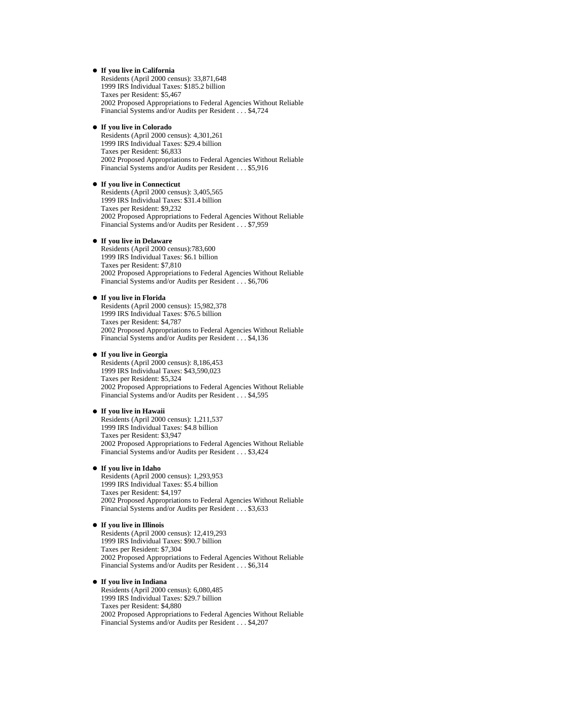#### **If you live in California**

Residents (April 2000 census): 33,871,648 1999 IRS Individual Taxes: \$185.2 billion Taxes per Resident: \$5,467 2002 Proposed Appropriations to Federal Agencies Without Reliable Financial Systems and/or Audits per Resident . . . \$4,724

#### **If you live in Colorado**

Residents (April 2000 census): 4,301,261 1999 IRS Individual Taxes: \$29.4 billion Taxes per Resident: \$6,833 2002 Proposed Appropriations to Federal Agencies Without Reliable Financial Systems and/or Audits per Resident . . . \$5,916

#### **If you live in Connecticut**

Residents (April 2000 census): 3,405,565 1999 IRS Individual Taxes: \$31.4 billion Taxes per Resident: \$9,232 2002 Proposed Appropriations to Federal Agencies Without Reliable Financial Systems and/or Audits per Resident . . . \$7,959

#### **If you live in Delaware**

Residents (April 2000 census):783,600 1999 IRS Individual Taxes: \$6.1 billion Taxes per Resident: \$7,810 2002 Proposed Appropriations to Federal Agencies Without Reliable Financial Systems and/or Audits per Resident . . . \$6,706

#### **If you live in Florida**

Residents (April 2000 census): 15,982,378 1999 IRS Individual Taxes: \$76.5 billion Taxes per Resident: \$4,787 2002 Proposed Appropriations to Federal Agencies Without Reliable Financial Systems and/or Audits per Resident . . . \$4,136

#### **If you live in Georgia**

Residents (April 2000 census): 8,186,453 1999 IRS Individual Taxes: \$43,590,023 Taxes per Resident: \$5,324 2002 Proposed Appropriations to Federal Agencies Without Reliable Financial Systems and/or Audits per Resident . . . \$4,595

#### **If you live in Hawaii**

Residents (April 2000 census): 1,211,537 1999 IRS Individual Taxes: \$4.8 billion Taxes per Resident: \$3,947 2002 Proposed Appropriations to Federal Agencies Without Reliable Financial Systems and/or Audits per Resident . . . \$3,424

#### **If you live in Idaho**

Residents (April 2000 census): 1,293,953 1999 IRS Individual Taxes: \$5.4 billion Taxes per Resident: \$4,197 2002 Proposed Appropriations to Federal Agencies Without Reliable Financial Systems and/or Audits per Resident . . . \$3,633

#### **If you live in Illinois**

Residents (April 2000 census): 12,419,293 1999 IRS Individual Taxes: \$90.7 billion Taxes per Resident: \$7,304 2002 Proposed Appropriations to Federal Agencies Without Reliable Financial Systems and/or Audits per Resident . . . \$6,314

#### **If you live in Indiana**

Residents (April 2000 census): 6,080,485 1999 IRS Individual Taxes: \$29.7 billion Taxes per Resident: \$4,880 2002 Proposed Appropriations to Federal Agencies Without Reliable Financial Systems and/or Audits per Resident . . . \$4,207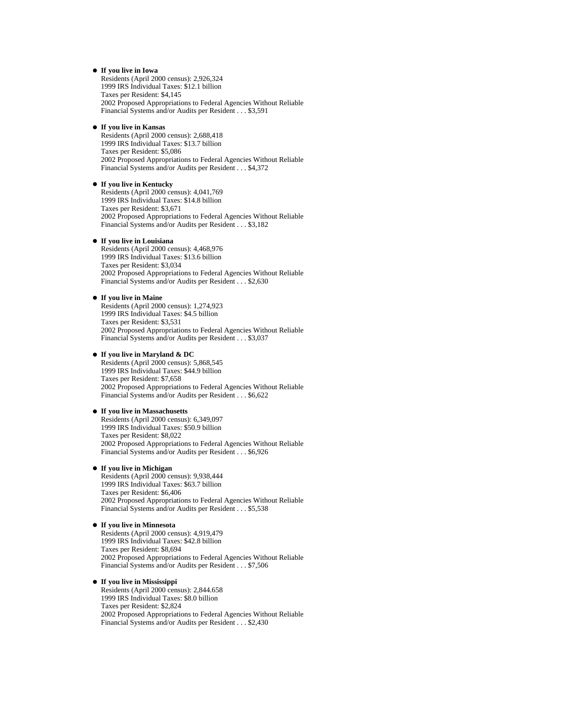#### **If you live in Iowa**

Residents (April 2000 census): 2,926,324 1999 IRS Individual Taxes: \$12.1 billion Taxes per Resident: \$4,145 2002 Proposed Appropriations to Federal Agencies Without Reliable Financial Systems and/or Audits per Resident . . . \$3,591

#### **If you live in Kansas**

Residents (April 2000 census): 2,688,418 1999 IRS Individual Taxes: \$13.7 billion Taxes per Resident: \$5,086 2002 Proposed Appropriations to Federal Agencies Without Reliable Financial Systems and/or Audits per Resident . . . \$4,372

#### **If you live in Kentucky**

Residents (April 2000 census): 4,041,769 1999 IRS Individual Taxes: \$14.8 billion Taxes per Resident: \$3,671 2002 Proposed Appropriations to Federal Agencies Without Reliable Financial Systems and/or Audits per Resident . . . \$3,182

#### **If you live in Louisiana**

Residents (April 2000 census): 4,468,976 1999 IRS Individual Taxes: \$13.6 billion Taxes per Resident: \$3,034 2002 Proposed Appropriations to Federal Agencies Without Reliable Financial Systems and/or Audits per Resident . . . \$2,630

#### **If you live in Maine**

Residents (April 2000 census): 1,274,923 1999 IRS Individual Taxes: \$4.5 billion Taxes per Resident: \$3,531 2002 Proposed Appropriations to Federal Agencies Without Reliable Financial Systems and/or Audits per Resident . . . \$3,037

#### **If you live in Maryland & DC**

Residents (April 2000 census): 5,868,545 1999 IRS Individual Taxes: \$44.9 billion Taxes per Resident: \$7,658 2002 Proposed Appropriations to Federal Agencies Without Reliable Financial Systems and/or Audits per Resident . . . \$6,622

#### **If you live in Massachusetts**

Residents (April 2000 census): 6,349,097 1999 IRS Individual Taxes: \$50.9 billion Taxes per Resident: \$8,022 2002 Proposed Appropriations to Federal Agencies Without Reliable Financial Systems and/or Audits per Resident . . . \$6,926

#### **If you live in Michigan**

Residents (April 2000 census): 9,938,444 1999 IRS Individual Taxes: \$63.7 billion Taxes per Resident: \$6,406 2002 Proposed Appropriations to Federal Agencies Without Reliable Financial Systems and/or Audits per Resident . . . \$5,538

#### **If you live in Minnesota**

Residents (April 2000 census): 4,919,479 1999 IRS Individual Taxes: \$42.8 billion Taxes per Resident: \$8,694 2002 Proposed Appropriations to Federal Agencies Without Reliable Financial Systems and/or Audits per Resident . . . \$7,506

#### **If you live in Mississippi**

Residents (April 2000 census): 2,844.658 1999 IRS Individual Taxes: \$8.0 billion Taxes per Resident: \$2,824 2002 Proposed Appropriations to Federal Agencies Without Reliable Financial Systems and/or Audits per Resident . . . \$2,430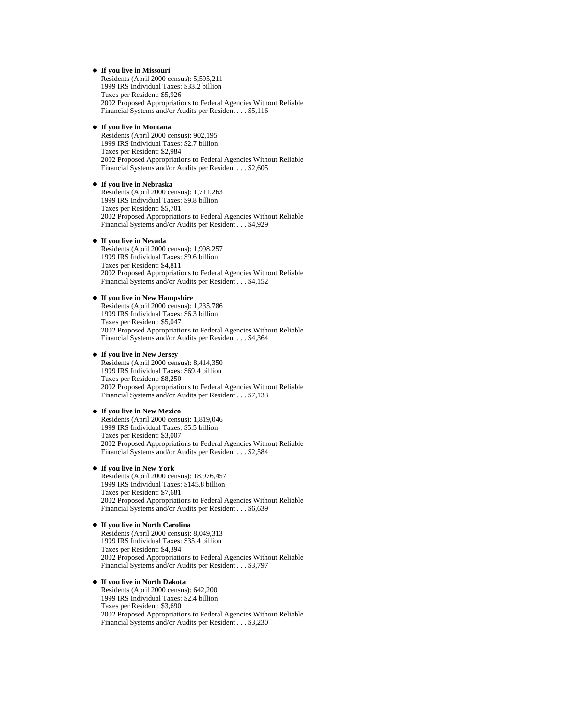#### **If you live in Missouri**

Residents (April 2000 census): 5,595,211 1999 IRS Individual Taxes: \$33.2 billion Taxes per Resident: \$5,926 2002 Proposed Appropriations to Federal Agencies Without Reliable Financial Systems and/or Audits per Resident . . . \$5,116

#### **If you live in Montana**

Residents (April 2000 census): 902,195 1999 IRS Individual Taxes: \$2.7 billion Taxes per Resident: \$2,984 2002 Proposed Appropriations to Federal Agencies Without Reliable Financial Systems and/or Audits per Resident . . . \$2,605

#### **If you live in Nebraska**

Residents (April 2000 census): 1,711,263 1999 IRS Individual Taxes: \$9.8 billion Taxes per Resident: \$5,701 2002 Proposed Appropriations to Federal Agencies Without Reliable Financial Systems and/or Audits per Resident . . . \$4,929

#### **If you live in Nevada**

Residents (April 2000 census): 1,998,257 1999 IRS Individual Taxes: \$9.6 billion Taxes per Resident: \$4,811 2002 Proposed Appropriations to Federal Agencies Without Reliable Financial Systems and/or Audits per Resident . . . \$4,152

#### **If you live in New Hampshire**

Residents (April 2000 census): 1,235,786 1999 IRS Individual Taxes: \$6.3 billion Taxes per Resident: \$5,047 2002 Proposed Appropriations to Federal Agencies Without Reliable Financial Systems and/or Audits per Resident . . . \$4,364

#### **If you live in New Jersey**

Residents (April 2000 census): 8,414,350 1999 IRS Individual Taxes: \$69.4 billion Taxes per Resident: \$8,250 2002 Proposed Appropriations to Federal Agencies Without Reliable Financial Systems and/or Audits per Resident . . . \$7,133

#### **If you live in New Mexico**

Residents (April 2000 census): 1,819,046 1999 IRS Individual Taxes: \$5.5 billion Taxes per Resident: \$3,007 2002 Proposed Appropriations to Federal Agencies Without Reliable Financial Systems and/or Audits per Resident . . . \$2,584

#### **If you live in New York**

Residents (April 2000 census): 18,976,457 1999 IRS Individual Taxes: \$145.8 billion Taxes per Resident: \$7,681 2002 Proposed Appropriations to Federal Agencies Without Reliable Financial Systems and/or Audits per Resident . . . \$6,639

#### **If you live in North Carolina**

Residents (April 2000 census): 8,049,313 1999 IRS Individual Taxes: \$35.4 billion Taxes per Resident: \$4,394 2002 Proposed Appropriations to Federal Agencies Without Reliable Financial Systems and/or Audits per Resident . . . \$3,797

#### **If you live in North Dakota**

Residents (April 2000 census): 642,200 1999 IRS Individual Taxes: \$2.4 billion Taxes per Resident: \$3,690 2002 Proposed Appropriations to Federal Agencies Without Reliable Financial Systems and/or Audits per Resident . . . \$3,230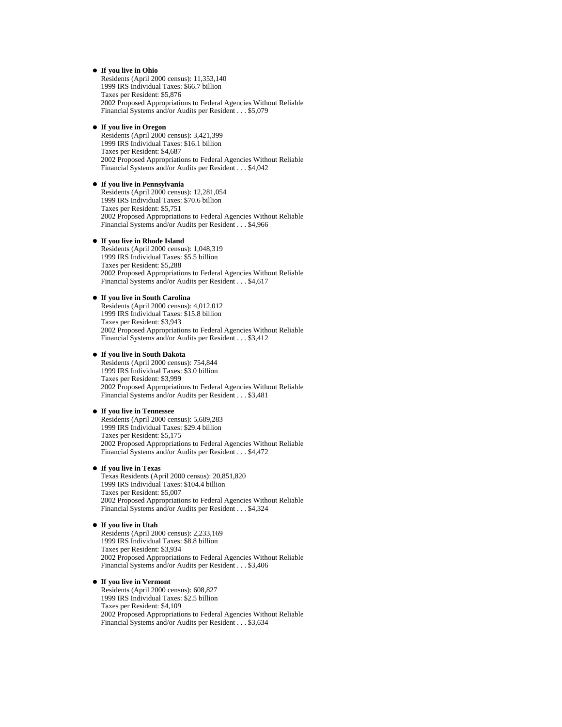#### **If you live in Ohio**

Residents (April 2000 census): 11,353,140 1999 IRS Individual Taxes: \$66.7 billion Taxes per Resident: \$5,876 2002 Proposed Appropriations to Federal Agencies Without Reliable Financial Systems and/or Audits per Resident . . . \$5,079

#### **If you live in Oregon**

Residents (April 2000 census): 3,421,399 1999 IRS Individual Taxes: \$16.1 billion Taxes per Resident: \$4,687 2002 Proposed Appropriations to Federal Agencies Without Reliable Financial Systems and/or Audits per Resident . . . \$4,042

#### **If you live in Pennsylvania**

Residents (April 2000 census): 12,281,054 1999 IRS Individual Taxes: \$70.6 billion Taxes per Resident: \$5,751 2002 Proposed Appropriations to Federal Agencies Without Reliable Financial Systems and/or Audits per Resident . . . \$4,966

#### **If you live in Rhode Island**

Residents (April 2000 census): 1,048,319 1999 IRS Individual Taxes: \$5.5 billion Taxes per Resident: \$5,288 2002 Proposed Appropriations to Federal Agencies Without Reliable Financial Systems and/or Audits per Resident . . . \$4,617

#### **If you live in South Carolina**

Residents (April 2000 census): 4,012,012 1999 IRS Individual Taxes: \$15.8 billion Taxes per Resident: \$3,943 2002 Proposed Appropriations to Federal Agencies Without Reliable Financial Systems and/or Audits per Resident . . . \$3,412

#### **If you live in South Dakota**

Residents (April 2000 census): 754,844 1999 IRS Individual Taxes: \$3.0 billion Taxes per Resident: \$3,999 2002 Proposed Appropriations to Federal Agencies Without Reliable Financial Systems and/or Audits per Resident . . . \$3,481

#### **If you live in Tennessee**

Residents (April 2000 census): 5,689,283 1999 IRS Individual Taxes: \$29.4 billion Taxes per Resident: \$5,175 2002 Proposed Appropriations to Federal Agencies Without Reliable Financial Systems and/or Audits per Resident . . . \$4,472

#### **If you live in Texas**

Texas Residents (April 2000 census): 20,851,820 1999 IRS Individual Taxes: \$104.4 billion Taxes per Resident: \$5,007 2002 Proposed Appropriations to Federal Agencies Without Reliable Financial Systems and/or Audits per Resident . . . \$4,324

#### **If you live in Utah**

Residents (April 2000 census): 2,233,169 1999 IRS Individual Taxes: \$8.8 billion Taxes per Resident: \$3,934 2002 Proposed Appropriations to Federal Agencies Without Reliable Financial Systems and/or Audits per Resident . . . \$3,406

#### **If you live in Vermont**

Residents (April 2000 census): 608,827 1999 IRS Individual Taxes: \$2.5 billion Taxes per Resident: \$4,109 2002 Proposed Appropriations to Federal Agencies Without Reliable Financial Systems and/or Audits per Resident . . . \$3,634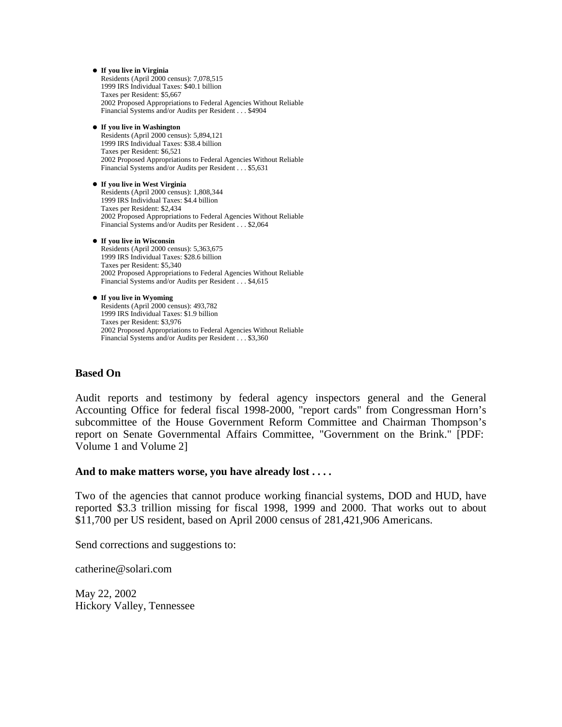```
If you live in Virginia
  Residents (April 2000 census): 7,078,515 
  1999 IRS Individual Taxes: $40.1 billion 
  Taxes per Resident: $5,667 
  2002 Proposed Appropriations to Federal Agencies Without Reliable 
  Financial Systems and/or Audits per Resident . . . $4904 
If you live in Washington
  Residents (April 2000 census): 5,894,121 
  1999 IRS Individual Taxes: $38.4 billion 
  Taxes per Resident: $6,521 
  2002 Proposed Appropriations to Federal Agencies Without Reliable 
  Financial Systems and/or Audits per Resident . . . $5,631 
If you live in West Virginia
  Residents (April 2000 census): 1,808,344 
  1999 IRS Individual Taxes: $4.4 billion 
  Taxes per Resident: $2,434 
  2002 Proposed Appropriations to Federal Agencies Without Reliable 
  Financial Systems and/or Audits per Resident . . . $2,064 
If you live in Wisconsin
  Residents (April 2000 census): 5,363,675 
  1999 IRS Individual Taxes: $28.6 billion 
  Taxes per Resident: $5,340 
  2002 Proposed Appropriations to Federal Agencies Without Reliable 
  Financial Systems and/or Audits per Resident . . . $4,615 
If you live in Wyoming
  Residents (April 2000 census): 493,782 
  1999 IRS Individual Taxes: $1.9 billion 
  Taxes per Resident: $3,976 
  2002 Proposed Appropriations to Federal Agencies Without Reliable
```
# Financial Systems and/or Audits per Resident . . . \$3,360

# **Based On**

Audit reports and testimony by federal agency inspectors general and the General Accounting Office for federal fiscal 1998-2000, "report cards" from Congressman Horn's subcommittee of the House Government Reform Committee and Chairman Thompson's report on Senate Governmental Affairs Committee, "Government on the Brink." [PDF: Volume 1 and Volume 2]

## **And to make matters worse, you have already lost . . . .**

Two of the agencies that cannot produce working financial systems, DOD and HUD, have reported \$3.3 trillion missing for fiscal 1998, 1999 and 2000. That works out to about \$11,700 per US resident, based on April 2000 census of 281,421,906 Americans.

Send corrections and suggestions to:

catherine@solari.com

May 22, 2002 Hickory Valley, Tennessee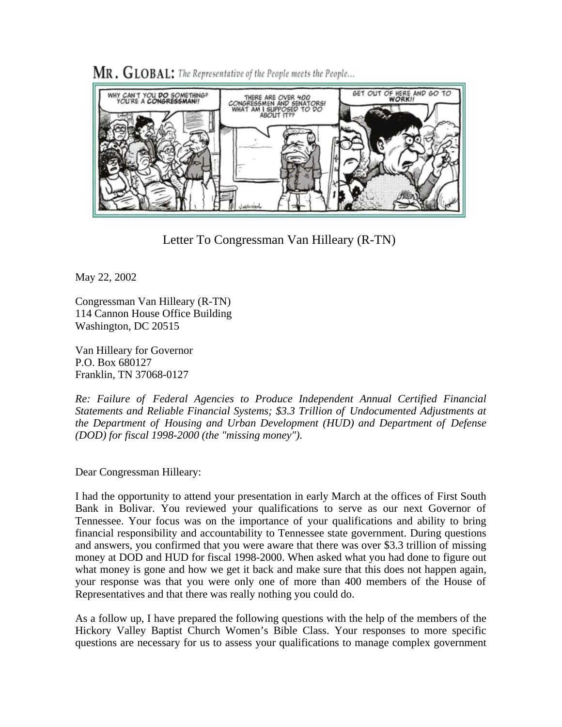

 $MR$ ,  $GLOBAL$ ; The Representative of the People meets the People...

Letter To Congressman Van Hilleary (R-TN)

May 22, 2002

Congressman Van Hilleary (R-TN) 114 Cannon House Office Building Washington, DC 20515

Van Hilleary for Governor P.O. Box 680127 Franklin, TN 37068-0127

*Re: Failure of Federal Agencies to Produce Independent Annual Certified Financial Statements and Reliable Financial Systems; \$3.3 Trillion of Undocumented Adjustments at the Department of Housing and Urban Development (HUD) and Department of Defense (DOD) for fiscal 1998-2000 (the "missing money").*

Dear Congressman Hilleary:

I had the opportunity to attend your presentation in early March at the offices of First South Bank in Bolivar. You reviewed your qualifications to serve as our next Governor of Tennessee. Your focus was on the importance of your qualifications and ability to bring financial responsibility and accountability to Tennessee state government. During questions and answers, you confirmed that you were aware that there was over \$3.3 trillion of missing money at DOD and HUD for fiscal 1998-2000. When asked what you had done to figure out what money is gone and how we get it back and make sure that this does not happen again, your response was that you were only one of more than 400 members of the House of Representatives and that there was really nothing you could do.

As a follow up, I have prepared the following questions with the help of the members of the Hickory Valley Baptist Church Women's Bible Class. Your responses to more specific questions are necessary for us to assess your qualifications to manage complex government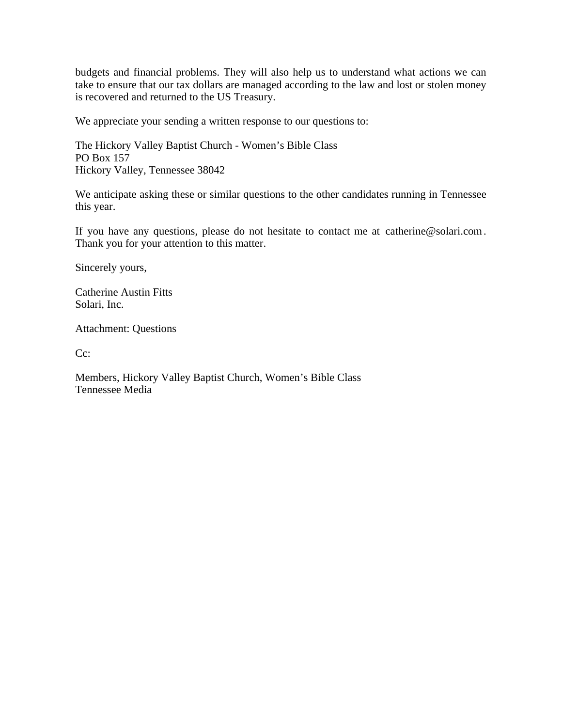budgets and financial problems. They will also help us to understand what actions we can take to ensure that our tax dollars are managed according to the law and lost or stolen money is recovered and returned to the US Treasury.

We appreciate your sending a written response to our questions to:

The Hickory Valley Baptist Church - Women's Bible Class PO Box 157 Hickory Valley, Tennessee 38042

We anticipate asking these or similar questions to the other candidates running in Tennessee this year.

If you have any questions, please do not hesitate to contact me at catherine@solari.com . Thank you for your attention to this matter.

Sincerely yours,

Catherine Austin Fitts Solari, Inc.

Attachment: Questions

C<sub>c</sub>:

Members, Hickory Valley Baptist Church, Women's Bible Class Tennessee Media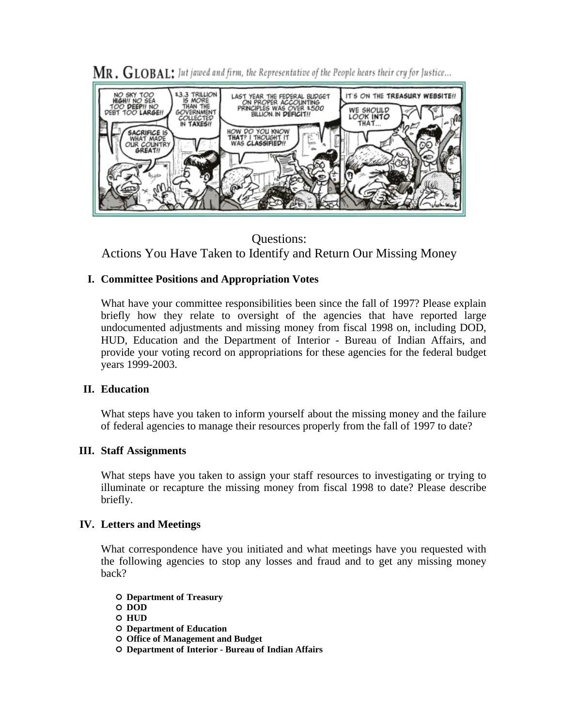

 $\rm MR$  ,  $\rm GLOBAL$ ; Jut jawed and firm, the Representative of the People hears their cry for Justice...

Questions: Actions You Have Taken to Identify and Return Our Missing Money

# **I. Committee Positions and Appropriation Votes**

What have your committee responsibilities been since the fall of 1997? Please explain briefly how they relate to oversight of the agencies that have reported large undocumented adjustments and missing money from fiscal 1998 on, including DOD, HUD, Education and the Department of Interior - Bureau of Indian Affairs, and provide your voting record on appropriations for these agencies for the federal budget years 1999-2003.

# **II. Education**

What steps have you taken to inform yourself about the missing money and the failure of federal agencies to manage their resources properly from the fall of 1997 to date?

# **III. Staff Assignments**

What steps have you taken to assign your staff resources to investigating or trying to illuminate or recapture the missing money from fiscal 1998 to date? Please describe briefly.

# **IV. Letters and Meetings**

What correspondence have you initiated and what meetings have you requested with the following agencies to stop any losses and fraud and to get any missing money back?

**Department of Treasury**

**DOD**

**HUD**

**Department of Education**

**Office of Management and Budget**

**Department of Interior - Bureau of Indian Affairs**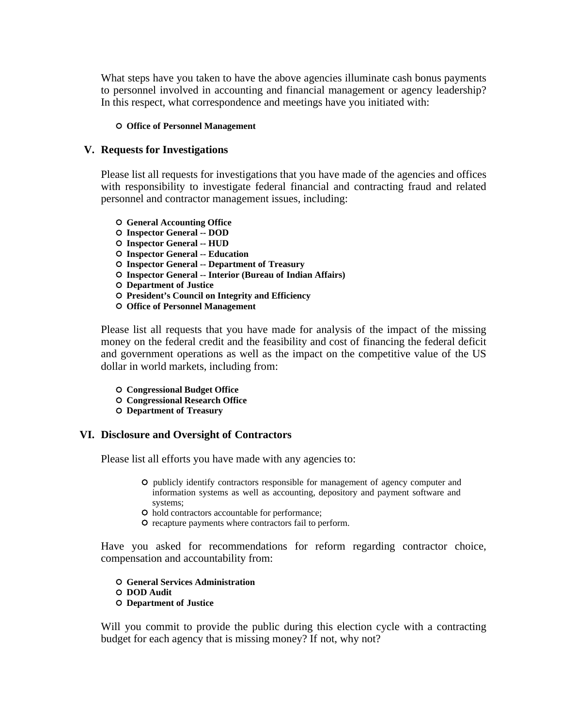What steps have you taken to have the above agencies illuminate cash bonus payments to personnel involved in accounting and financial management or agency leadership? In this respect, what correspondence and meetings have you initiated with:

### **O** Office of Personnel Management

# **V. Requests for Investigations**

Please list all requests for investigations that you have made of the agencies and offices with responsibility to investigate federal financial and contracting fraud and related personnel and contractor management issues, including:

- **General Accounting Office**
- **Inspector General -- DOD**
- **Inspector General -- HUD**
- **Inspector General -- Education**
- **Inspector General -- Department of Treasury**
- **Inspector General -- Interior (Bureau of Indian Affairs)**
- **Department of Justice**
- **President's Council on Integrity and Efficiency**
- **Office of Personnel Management**

Please list all requests that you have made for analysis of the impact of the missing money on the federal credit and the feasibility and cost of financing the federal deficit and government operations as well as the impact on the competitive value of the US dollar in world markets, including from:

- **Congressional Budget Office**
- **Congressional Research Office**
- **Department of Treasury**

# **VI. Disclosure and Oversight of Contractors**

Please list all efforts you have made with any agencies to:

- publicly identify contractors responsible for management of agency computer and information systems as well as accounting, depository and payment software and systems;
- hold contractors accountable for performance;
- $\circ$  recapture payments where contractors fail to perform.

Have you asked for recommendations for reform regarding contractor choice, compensation and accountability from:

- **General Services Administration**
- **DOD Audit**
- **Department of Justice**

Will you commit to provide the public during this election cycle with a contracting budget for each agency that is missing money? If not, why not?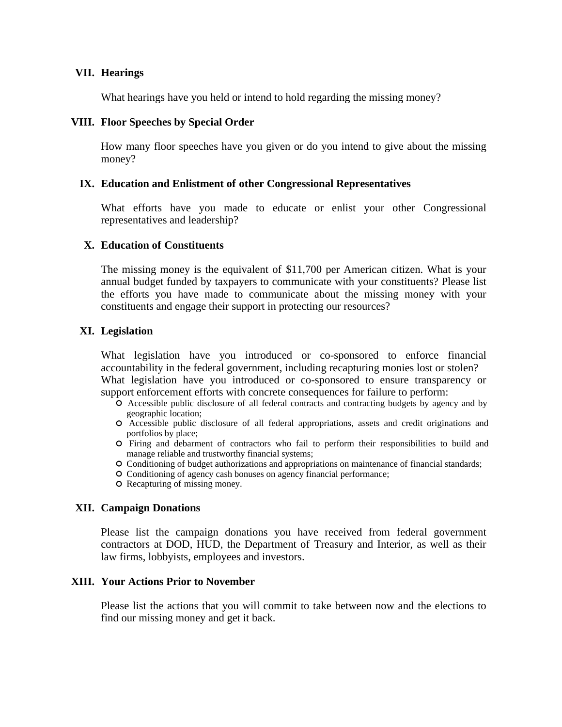# **VII. Hearings**

What hearings have you held or intend to hold regarding the missing money?

## **VIII. Floor Speeches by Special Order**

How many floor speeches have you given or do you intend to give about the missing money?

## **IX. Education and Enlistment of other Congressional Representatives**

What efforts have you made to educate or enlist your other Congressional representatives and leadership?

## **X. Education of Constituents**

The missing money is the equivalent of \$11,700 per American citizen. What is your annual budget funded by taxpayers to communicate with your constituents? Please list the efforts you have made to communicate about the missing money with your constituents and engage their support in protecting our resources?

# **XI. Legislation**

What legislation have you introduced or co-sponsored to enforce financial accountability in the federal government, including recapturing monies lost or stolen? What legislation have you introduced or co-sponsored to ensure transparency or support enforcement efforts with concrete consequences for failure to perform:

- Accessible public disclosure of all federal contracts and contracting budgets by agency and by geographic location;
- Accessible public disclosure of all federal appropriations, assets and credit originations and portfolios by place;
- Firing and debarment of contractors who fail to perform their responsibilities to build and manage reliable and trustworthy financial systems;
- Conditioning of budget authorizations and appropriations on maintenance of financial standards;
- Conditioning of agency cash bonuses on agency financial performance;
- O Recapturing of missing money.

### **XII. Campaign Donations**

Please list the campaign donations you have received from federal government contractors at DOD, HUD, the Department of Treasury and Interior, as well as their law firms, lobbyists, employees and investors.

## **XIII. Your Actions Prior to November**

Please list the actions that you will commit to take between now and the elections to find our missing money and get it back.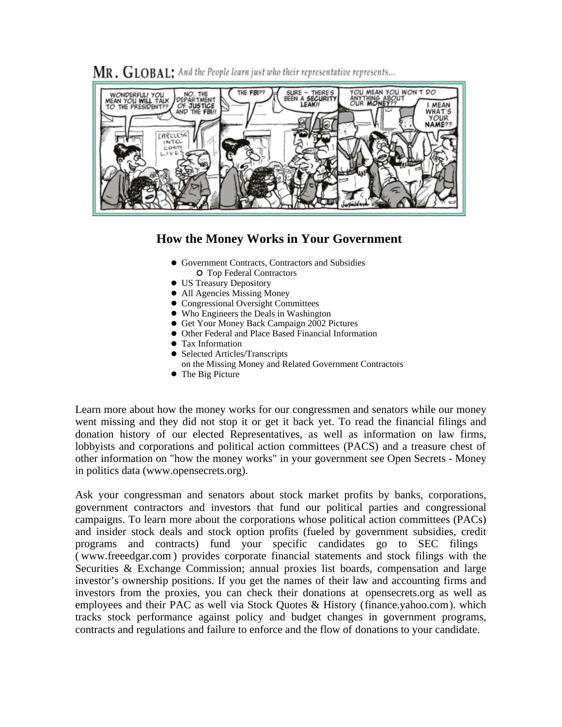$\rm MR$  ,  $\rm GLOBAL$  . And the People learn just who their representative represents...



# **How the Money Works in Your Government**

- Government Contracts, Contractors and Subsidies O Top Federal Contractors
- US Treasury Depository
- All Agencies Missing Money
- **Congressional Oversight Committees**
- Who Engineers the Deals in Washington
- Get Your Money Back Campaign 2002 Pictures
- Other Federal and Place Based Financial Information
- Tax Information
- Selected Articles/Transcripts
- on the Missing Money and Related Government Contractors
- The Big Picture

Learn more about how the money works for our congressmen and senators while our money went missing and they did not stop it or get it back yet. To read the financial filings and donation history of our elected Representatives, as well as information on law firms, lobbyists and corporations and political action committees (PACS) and a treasure chest of other information on "how the money works" in your government see Open Secrets - Money in politics data (www.opensecrets.org).

Ask your congressman and senators about stock market profits by banks, corporations, government contractors and investors that fund our political parties and congressional campaigns. To learn more about the corporations whose political action committees (PACs) and insider stock deals and stock option profits (fueled by government subsidies, credit programs and contracts) fund your specific candidates go to SEC filings ( www.freeedgar.com ) provides corporate financial statements and stock filings with the Securities & Exchange Commission; annual proxies list boards, compensation and large investor's ownership positions. If you get the names of their law and accounting firms and investors from the proxies, you can check their donations at opensecrets.org as well as employees and their PAC as well via Stock Quotes & History (finance.yahoo.com). which tracks stock performance against policy and budget changes in government programs, contracts and regulations and failure to enforce and the flow of donations to your candidate.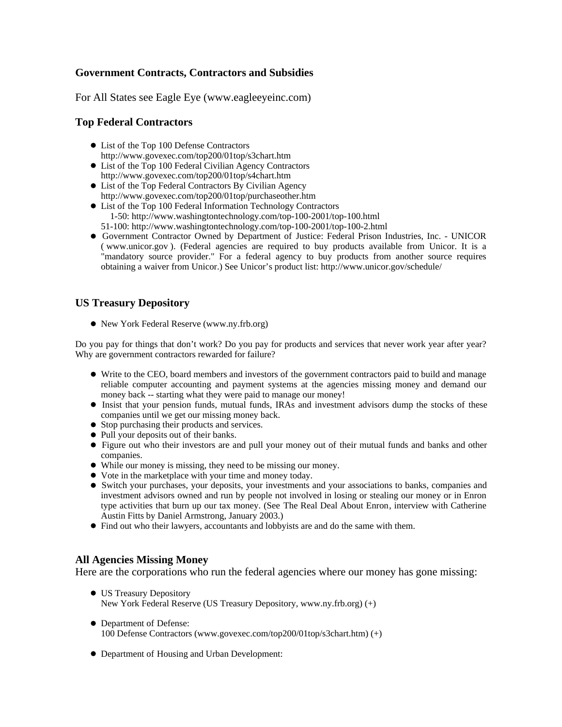# **Government Contracts, Contractors and Subsidies**

For All States see Eagle Eye (www.eagleeyeinc.com)

# **Top Federal Contractors**

- List of the Top 100 Defense Contractors http://www.govexec.com/top200/01top/s3chart.htm
- List of the Top 100 Federal Civilian Agency Contractors http://www.govexec.com/top200/01top/s4chart.htm
- List of the Top Federal Contractors By Civilian Agency http://www.govexec.com/top200/01top/purchaseother.htm
- List of the Top 100 Federal Information Technology Contractors 1-50: http://www.washingtontechnology.com/top-100-2001/top-100.html 51-100: http://www.washingtontechnology.com/top-100-2001/top-100-2.html
- Government Contractor Owned by Department of Justice: Federal Prison Industries, Inc. UNICOR ( www.unicor.gov ). (Federal agencies are required to buy products available from Unicor. It is a "mandatory source provider." For a federal agency to buy products from another source requires obtaining a waiver from Unicor.) See Unicor's product list: http://www.unicor.gov/schedule/

# **US Treasury Depository**

New York Federal Reserve (www.ny.frb.org)

Do you pay for things that don't work? Do you pay for products and services that never work year after year? Why are government contractors rewarded for failure?

- Write to the CEO, board members and investors of the government contractors paid to build and manage reliable computer accounting and payment systems at the agencies missing money and demand our money back -- starting what they were paid to manage our money!
- Insist that your pension funds, mutual funds, IRAs and investment advisors dump the stocks of these companies until we get our missing money back.
- Stop purchasing their products and services.
- Pull your deposits out of their banks.
- Figure out who their investors are and pull your money out of their mutual funds and banks and other companies.
- While our money is missing, they need to be missing our money.
- Vote in the marketplace with your time and money today.
- Switch your purchases, your deposits, your investments and your associations to banks, companies and investment advisors owned and run by people not involved in losing or stealing our money or in Enron type activities that burn up our tax money. (See The Real Deal About Enron, interview with Catherine Austin Fitts by Daniel Armstrong, January 2003.)
- Find out who their lawyers, accountants and lobbyists are and do the same with them.

# **All Agencies Missing Money**

Here are the corporations who run the federal agencies where our money has gone missing:

- US Treasury Depository New York Federal Reserve (US Treasury Depository, www.ny.frb.org) (+)
- Department of Defense: 100 Defense Contractors (www.govexec.com/top200/01top/s3chart.htm) (+)
- Department of Housing and Urban Development: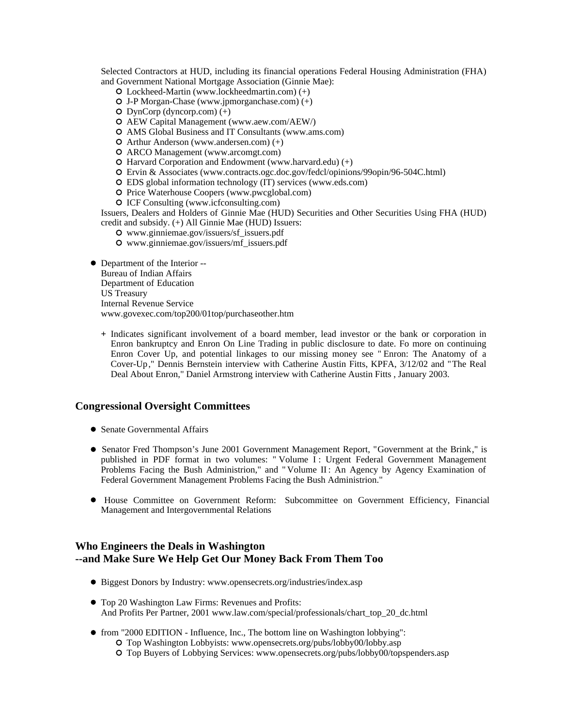Selected Contractors at HUD, including its financial operations Federal Housing Administration (FHA) and Government National Mortgage Association (Ginnie Mae):

- Lockheed-Martin (www.lockheedmartin.com) (+)
- J-P Morgan-Chase (www.jpmorganchase.com) (+)
- $O$  DynCorp (dyncorp.com)  $(+)$
- AEW Capital Management (www.aew.com/AEW/)
- AMS Global Business and IT Consultants (www.ams.com)
- Arthur Anderson (www.andersen.com) (+)
- ARCO Management (www.arcomgt.com)
- $O$  Harvard Corporation and Endowment (www.harvard.edu)  $(+)$
- Ervin & Associates (www.contracts.ogc.doc.gov/fedcl/opinions/99opin/96-504C.html)
- EDS global information technology (IT) services (www.eds.com)
- O Price Waterhouse Coopers (www.pwcglobal.com)
- ICF Consulting (www.icfconsulting.com)

Issuers, Dealers and Holders of Ginnie Mae (HUD) Securities and Other Securities Using FHA (HUD) credit and subsidy. (+) All Ginnie Mae (HUD) Issuers:

- www.ginniemae.gov/issuers/sf\_issuers.pdf
- www.ginniemae.gov/issuers/mf\_issuers.pdf
- Department of the Interior --

Bureau of Indian Affairs

Department of Education

US Treasury

Internal Revenue Service

www.govexec.com/top200/01top/purchaseother.htm

**+** Indicates significant involvement of a board member, lead investor or the bank or corporation in Enron bankruptcy and Enron On Line Trading in public disclosure to date. Fo more on continuing Enron Cover Up, and potential linkages to our missing money see " Enron: The Anatomy of a Cover-Up," Dennis Bernstein interview with Catherine Austin Fitts, KPFA, 3/12/02 and "The Real Deal About Enron," Daniel Armstrong interview with Catherine Austin Fitts , January 2003.

# **Congressional Oversight Committees**

- Senate Governmental Affairs
- Senator Fred Thompson's June 2001 Government Management Report, "Government at the Brink," is published in PDF format in two volumes: "Volume I: Urgent Federal Government Management Problems Facing the Bush Administrion," and " Volume II : An Agency by Agency Examination of Federal Government Management Problems Facing the Bush Administrion."
- House Committee on Government Reform: Subcommittee on Government Efficiency, Financial Management and Intergovernmental Relations

# **Who Engineers the Deals in Washington --and Make Sure We Help Get Our Money Back From Them Too**

- Biggest Donors by Industry: www.opensecrets.org/industries/index.asp
- Top 20 Washington Law Firms: Revenues and Profits: And Profits Per Partner, 2001 www.law.com/special/professionals/chart\_top\_20\_dc.html
- from "2000 EDITION Influence, Inc., The bottom line on Washington lobbying": Top Washington Lobbyists: www.opensecrets.org/pubs/lobby00/lobby.asp
	- Top Buyers of Lobbying Services: www.opensecrets.org/pubs/lobby00/topspenders.asp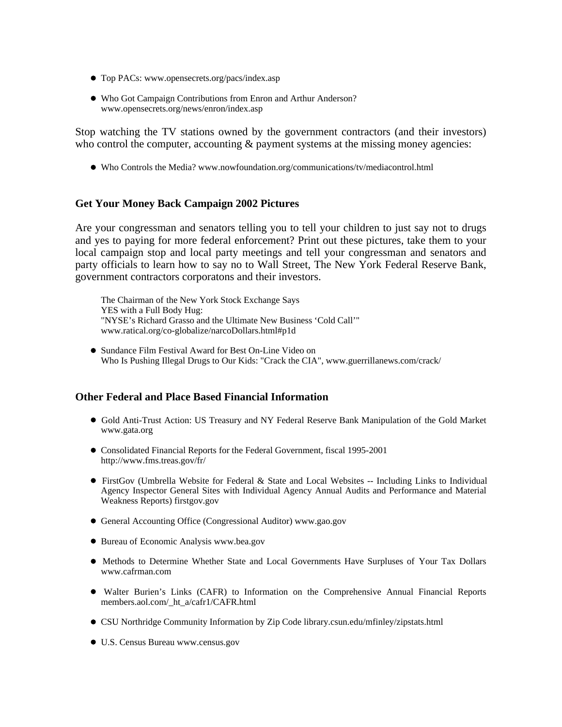- Top PACs: www.opensecrets.org/pacs/index.asp
- Who Got Campaign Contributions from Enron and Arthur Anderson? www.opensecrets.org/news/enron/index.asp

Stop watching the TV stations owned by the government contractors (and their investors) who control the computer, accounting  $\&$  payment systems at the missing money agencies:

Who Controls the Media? www.nowfoundation.org/communications/tv/mediacontrol.html

# **Get Your Money Back Campaign 2002 Pictures**

Are your congressman and senators telling you to tell your children to just say not to drugs and yes to paying for more federal enforcement? Print out these pictures, take them to your local campaign stop and local party meetings and tell your congressman and senators and party officials to learn how to say no to Wall Street, The New York Federal Reserve Bank, government contractors corporatons and their investors.

The Chairman of the New York Stock Exchange Says YES with a Full Body Hug: "NYSE's Richard Grasso and the Ultimate New Business 'Cold Call'" www.ratical.org/co-globalize/narcoDollars.html#p1d

Sundance Film Festival Award for Best On-Line Video on Who Is Pushing Illegal Drugs to Our Kids: "Crack the CIA", www.guerrillanews.com/crack/

### **Other Federal and Place Based Financial Information**

- Gold Anti-Trust Action: US Treasury and NY Federal Reserve Bank Manipulation of the Gold Market www.gata.org
- Consolidated Financial Reports for the Federal Government, fiscal 1995-2001 http://www.fms.treas.gov/fr/
- FirstGov (Umbrella Website for Federal & State and Local Websites -- Including Links to Individual Agency Inspector General Sites with Individual Agency Annual Audits and Performance and Material Weakness Reports) firstgov.gov
- General Accounting Office (Congressional Auditor) www.gao.gov
- Bureau of Economic Analysis www.bea.gov
- Methods to Determine Whether State and Local Governments Have Surpluses of Your Tax Dollars www.cafrman.com
- Walter Burien's Links (CAFR) to Information on the Comprehensive Annual Financial Reports members.aol.com/\_ht\_a/cafr1/CAFR.html
- CSU Northridge Community Information by Zip Code library.csun.edu/mfinley/zipstats.html
- U.S. Census Bureau www.census.gov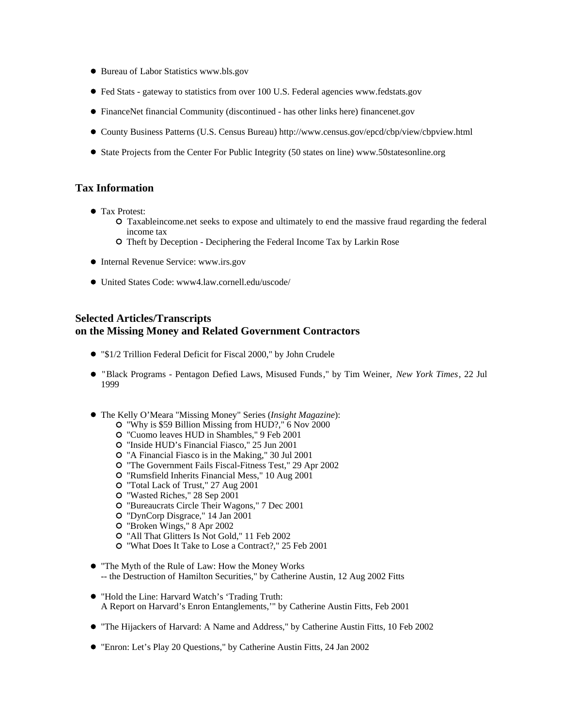- **Bureau of Labor Statistics www.bls.gov**
- Fed Stats gateway to statistics from over 100 U.S. Federal agencies www.fedstats.gov
- FinanceNet financial Community (discontinued has other links here) financenet.gov
- County Business Patterns (U.S. Census Bureau) http://www.census.gov/epcd/cbp/view/cbpview.html
- State Projects from the Center For Public Integrity (50 states on line) www.50statesonline.org

# **Tax Information**

- Tax Protest:
	- Taxableincome.net seeks to expose and ultimately to end the massive fraud regarding the federal income tax
	- Theft by Deception Deciphering the Federal Income Tax by Larkin Rose
- Internal Revenue Service: www.irs.gov
- United States Code: www4.law.cornell.edu/uscode/

# **Selected Articles/Transcripts on the Missing Money and Related Government Contractors**

- "\$1/2 Trillion Federal Deficit for Fiscal 2000," by John Crudele
- "Black Programs Pentagon Defied Laws, Misused Funds," by Tim Weiner, *New York Times*, 22 Jul 1999
- The Kelly O'Meara "Missing Money" Series (*Insight Magazine*):
	- "Why is \$59 Billion Missing from HUD?," 6 Nov 2000
	- "Cuomo leaves HUD in Shambles," 9 Feb 2001
	- "Inside HUD's Financial Fiasco," 25 Jun 2001
	- "A Financial Fiasco is in the Making," 30 Jul 2001
	- "The Government Fails Fiscal-Fitness Test," 29 Apr 2002
	- "Rumsfield Inherits Financial Mess," 10 Aug 2001
	- "Total Lack of Trust," 27 Aug 2001
	- "Wasted Riches," 28 Sep 2001
	- "Bureaucrats Circle Their Wagons," 7 Dec 2001
	- "DynCorp Disgrace," 14 Jan 2001
	- "Broken Wings," 8 Apr 2002
	- "All That Glitters Is Not Gold," 11 Feb 2002
	- "What Does It Take to Lose a Contract?," 25 Feb 2001
- "The Myth of the Rule of Law: How the Money Works -- the Destruction of Hamilton Securities," by Catherine Austin, 12 Aug 2002 Fitts
- "Hold the Line: Harvard Watch's 'Trading Truth: A Report on Harvard's Enron Entanglements,'" by Catherine Austin Fitts, Feb 2001
- "The Hijackers of Harvard: A Name and Address," by Catherine Austin Fitts, 10 Feb 2002
- "Enron: Let's Play 20 Questions," by Catherine Austin Fitts, 24 Jan 2002